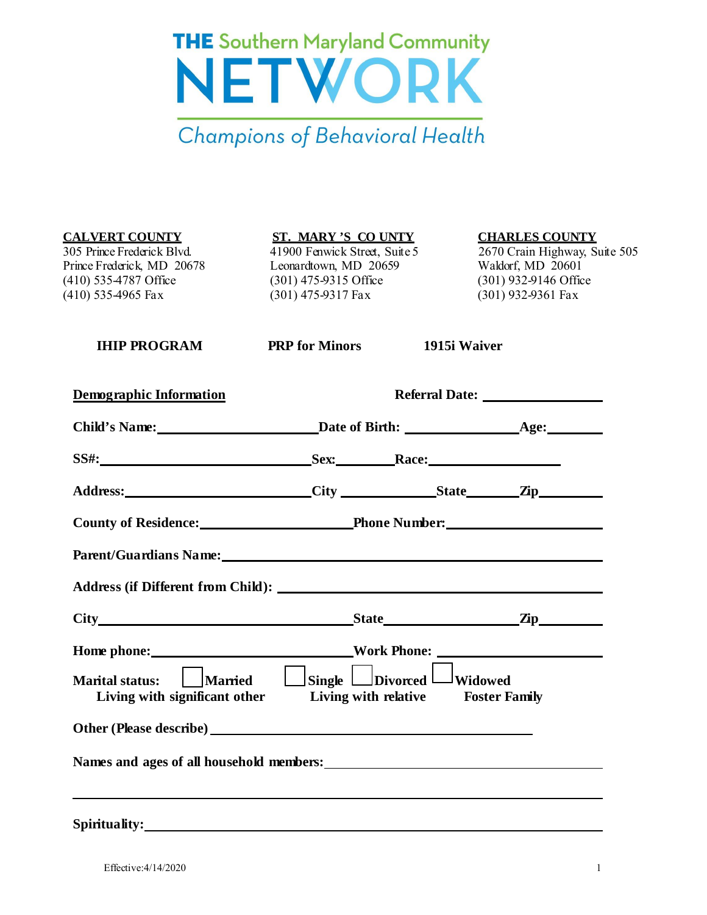

**CALVERT COUNTY ST. MARY 'S CO UNTY CHARLES COUNTY** 305 Prince Frederick Blvd. 41900 Fenwick Street, Suite 5 2670 Crain Highway, Suite 505 Prince Frederick, MD 20678 Leonardtown, MD 20659 Waldorf, MD 20601<br>
(410) 535-4787 Office (301) 475-9315 Office (301) 932-9146 Office (410) 535-4965 Fax (301) 475-9317 Fax (301) 932-9361 Fax

 $(301)$  475-9315 Office

 **IHIP PROGRAM PRP for Minors 1915i Waiver**

| Demographic Information                                                                                                                                                                                                        |                                    |  |  |
|--------------------------------------------------------------------------------------------------------------------------------------------------------------------------------------------------------------------------------|------------------------------------|--|--|
|                                                                                                                                                                                                                                |                                    |  |  |
|                                                                                                                                                                                                                                |                                    |  |  |
| Address: City City State Zip                                                                                                                                                                                                   |                                    |  |  |
|                                                                                                                                                                                                                                | County of Residence: Phone Number: |  |  |
| Parent/Guardians Name: Name and Second Contract of the Contract of the Contract of the Contract of the Contract of the Contract of the Contract of the Contract of the Contract of the Contract of the Contract of the Contrac |                                    |  |  |
|                                                                                                                                                                                                                                |                                    |  |  |
| City State Manual State City                                                                                                                                                                                                   |                                    |  |  |
|                                                                                                                                                                                                                                |                                    |  |  |
| Marital status: $\Box$ Married $\Box$ Single $\Box$ Divorced $\Box$ Widowed<br>Living with significant other Living with relative Foster Family                                                                                |                                    |  |  |
|                                                                                                                                                                                                                                |                                    |  |  |
|                                                                                                                                                                                                                                |                                    |  |  |

**Spirituality:**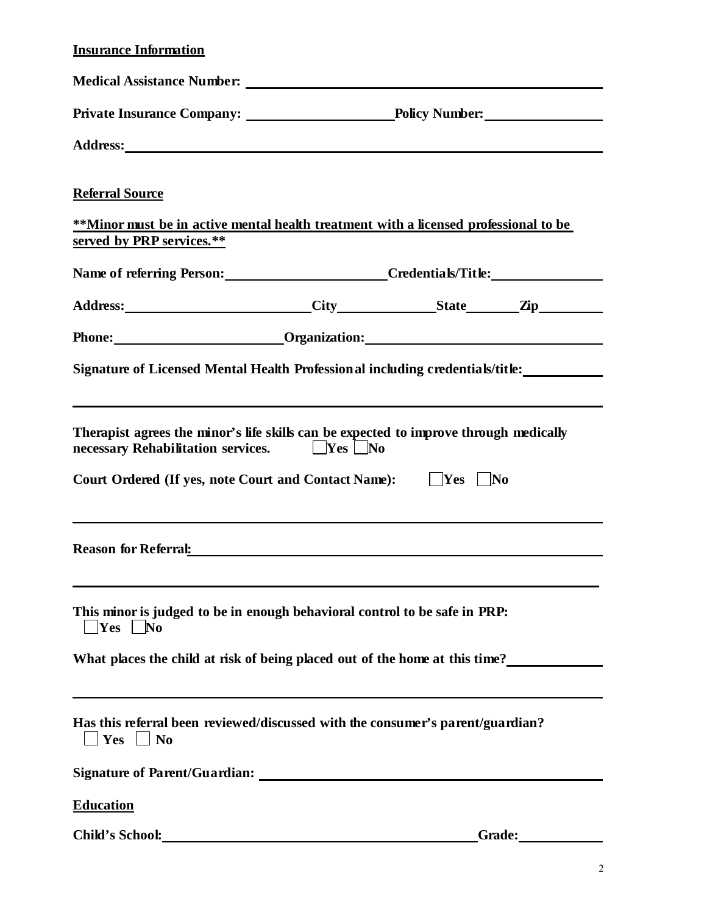## **Insurance Information**

| <b>Medical Assistance Number:</b> Number:                                                                                                                                                                                          |  |                                              |  |  |
|------------------------------------------------------------------------------------------------------------------------------------------------------------------------------------------------------------------------------------|--|----------------------------------------------|--|--|
|                                                                                                                                                                                                                                    |  |                                              |  |  |
|                                                                                                                                                                                                                                    |  |                                              |  |  |
| <b>Referral Source</b>                                                                                                                                                                                                             |  |                                              |  |  |
| **Minor must be in active mental health treatment with a licensed professional to be<br>served by PRP services.**                                                                                                                  |  |                                              |  |  |
|                                                                                                                                                                                                                                    |  | Name of referring Person: Credentials/Title: |  |  |
| Address: City State Zip                                                                                                                                                                                                            |  |                                              |  |  |
| Phone: <u>Communication:</u> Communication: Communication: Communication: Communication: Communication: Communication:                                                                                                             |  |                                              |  |  |
| Signature of Licensed Mental Health Professional including credentials/title:                                                                                                                                                      |  |                                              |  |  |
| Therapist agrees the minor's life skills can be expected to improve through medically<br>necessary Rehabilitation services.<br><u>Nes</u> No<br><b>Court Ordered (If yes, note Court and Contact Name):</b>                        |  | $ $ Yes $ $ No                               |  |  |
| Reason for Referral: <u>contracts</u> and the contract of the set of the set of the set of the set of the set of the set of the set of the set of the set of the set of the set of the set of the set of the set of the set of the |  |                                              |  |  |
| This minor is judged to be in enough behavioral control to be safe in PRP:<br>$ Yes $ No                                                                                                                                           |  |                                              |  |  |
| What places the child at risk of being placed out of the home at this time?                                                                                                                                                        |  |                                              |  |  |
| Has this referral been reviewed/discussed with the consumer's parent/guardian?<br>Yes $\Box$ No                                                                                                                                    |  |                                              |  |  |
|                                                                                                                                                                                                                                    |  |                                              |  |  |
| <b>Education</b>                                                                                                                                                                                                                   |  |                                              |  |  |
| Child's School: Note that the set of the set of the set of the set of the set of the set of the set of the set of the set of the set of the set of the set of the set of the set of the set of the set of the set of the set o     |  |                                              |  |  |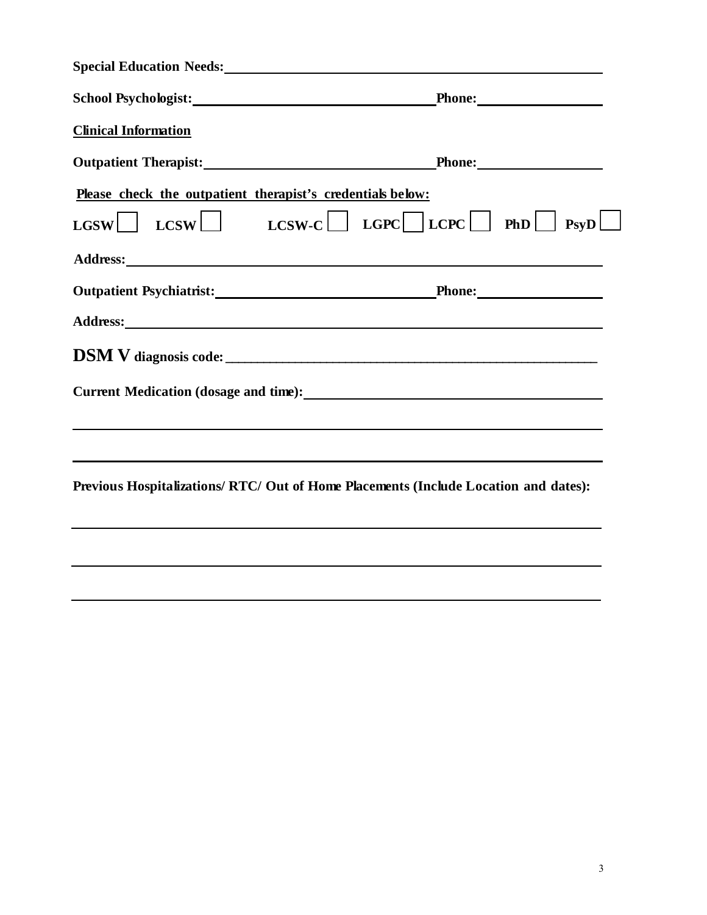|                                                            | Special Education Needs: Manual Communication of the Special Education Needs:                                                                                                                                                        |
|------------------------------------------------------------|--------------------------------------------------------------------------------------------------------------------------------------------------------------------------------------------------------------------------------------|
|                                                            | School Psychologist: Phone: Phone:                                                                                                                                                                                                   |
| <b>Clinical Information</b>                                |                                                                                                                                                                                                                                      |
|                                                            | Outpatient Therapist: Phone: Phone: Phone:                                                                                                                                                                                           |
| Please check the outpatient therapist's credentials below: |                                                                                                                                                                                                                                      |
|                                                            | $\text{LGSW}$ LCSW L $\text{LCSW-C}$ LGPC LCPC PhD PsyD                                                                                                                                                                              |
|                                                            |                                                                                                                                                                                                                                      |
|                                                            | Outpatient Psychiatrist: Phone: Phone: Phone: Phone: Phone: Phone: Phone: Phone: Phone: Phone: Phone: Phone: Phone: Phone: Phone: Phone: Phone: Phone: Phone: Phone: Phone: Phone: Phone: Phone: Phone: Phone: Phone: Phone: P       |
|                                                            | Address: Andreas Address: Address: Address: Address: Address: Address: Address: Address: Address: Address: Address: Address: Address: Address: Address: Address: Address: Address: Address: Address: Address: Address: Address       |
|                                                            |                                                                                                                                                                                                                                      |
|                                                            | Current Medication (dosage and time):<br><u>Lateral and time</u> and time and time in the set of the set of the set of the set of the set of the set of the set of the set of the set of the set of the set of the set of the set of |
|                                                            |                                                                                                                                                                                                                                      |
|                                                            | ,我们也不会有什么。""我们的人,我们也不会有什么?""我们的人,我们也不会有什么?""我们的人,我们也不会有什么?""我们的人,我们也不会有什么?""我们的人                                                                                                                                                     |
|                                                            | Previous Hospitalizations/ RTC/ Out of Home Placements (Include Location and dates):                                                                                                                                                 |
|                                                            |                                                                                                                                                                                                                                      |
|                                                            |                                                                                                                                                                                                                                      |
|                                                            |                                                                                                                                                                                                                                      |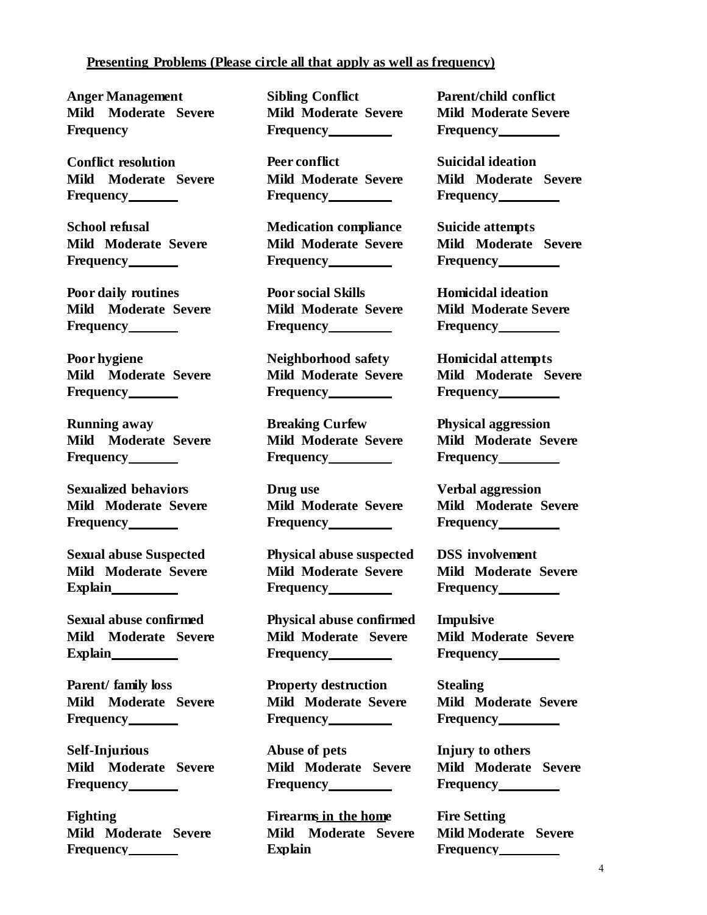## **Presenting Problems (Please circle all that apply as well as frequency)**

**Anger Management Mild Moderate Severe Frequency Frequency Frequency**

**Conflict resolution Peer conflict Suicidal ideation Mild Moderate Severe Mild Moderate Severe Mild Moderate Severe Frequency Frequency Frequency**

**Frequency Frequency Frequency**

**Poor daily routines Poor social Skills Homicidal ideation Mild Moderate Severe Frequency**

**Poor hygiene Neighborhood safety Homicidal attempts Frequency Frequency Frequency**

**Running away Breaking Curfew Physical aggression Mild Moderate Severe Mild Moderate Severe Mild Moderate Severe Frequency Example 2 Frequency Example 2 Frequency Example 2 Frequency Example 2 Frequency 2 Frequency 2 Frequency 2 Frequency 2 Frequency 2 Frequency 2 Frequency 2 Frequency 2 Frequency 2 Frequency 2 Frequency 2 Frequency** 

**Frequency Frequency Frequency**

**Sexual abuse Suspected Physical abuse suspected DSS involvement**

**Sexual abuse confirmed Physical abuse confirmed Impulsive Mild Moderate Severe Mild Moderate Severe Mild Moderate Severe Explain Frequency Frequency**

**Parent/ family loss Property destruction Stealing Mild Moderate Severe Mild Moderate Severe Mild Moderate Severe Frequency Frequency Frequency Frequency Frequency** 

**Self-Injurious Abuse of pets Injury to others Mild Moderate Severe Mild Moderate Severe Mild Moderate Severe Frequency Frequency Frequency**

**Mild Moderate Severe Frequency**

**Sibling Conflict Mild Moderate Severe**

**School refusal Medication compliance Suicide attempts**

**Mild Moderate Severe Frequency**

**Sexualized behaviors Drug use Verbal aggression**

**Mild Moderate Severe Mild Moderate Severe Mild Moderate Severe** Explain **Frequency Frequency Frequency Frequency** 

**Fighting Firearms in the home Fire Setting Mild Moderate Severe Explain**

**Parent/child conflict Mild Moderate Severe**

**Mild Moderate Severe Mild Moderate Severe Mild Moderate Severe**

**Mild Moderate Severe Frequency**

**Mild Moderate Severe Mild Moderate Severe Mild Moderate Severe**

**Mild Moderate Severe Mild Moderate Severe Mild Moderate Severe**

**Mild Moderate Severe Frequency**